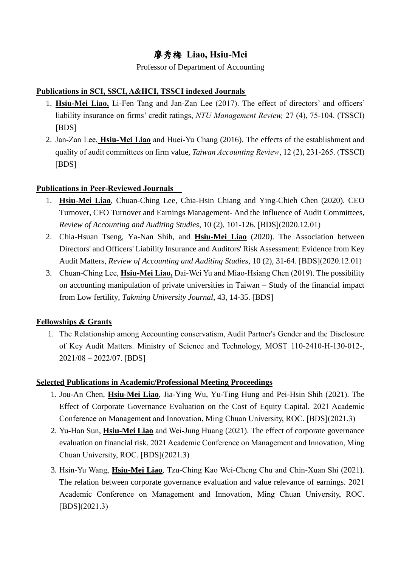# 廖秀梅 **Liao, Hsiu-Mei**

Professor of Department of Accounting

## **Publications in SCI, SSCI, A&HCI, TSSCI indexed Journals**

- 1. **Hsiu-Mei Liao,** Li-Fen Tang and Jan-Zan Lee (2017). The effect of directors' and officers' liability insurance on firms' credit ratings, *NTU Management Review,* 27 (4), 75-104. (TSSCI) [BDS]
- 2. Jan-Zan Lee, **Hsiu-Mei Liao** and Huei-Yu Chang (2016). The effects of the establishment and quality of audit committees on firm value, *Taiwan Accounting Review*, 12 (2), 231-265. (TSSCI) [BDS]

## **Publications in Peer-Reviewed Journals**

- 1. **Hsiu-Mei Liao**, Chuan-Ching Lee, Chia-Hsin Chiang and Ying-Chieh Chen (2020). CEO Turnover, CFO Turnover and Earnings Management- And the Influence of Audit Committees, *Review of Accounting and Auditing Studies*, 10 (2), 101-126. [BDS](2020.12.01)
- 2. Chia-Hsuan Tseng, Ya-Nan Shih, and **Hsiu-Mei Liao** (2020). The Association between Directors' and Officers' Liability Insurance and Auditors' Risk Assessment: Evidence from Key Audit Matters, *Review of Accounting and Auditing Studies*, 10 (2), 31-64. [BDS](2020.12.01)
- 3. Chuan-Ching Lee, **Hsiu-Mei Liao,** Dai-Wei Yu and Miao-Hsiang Chen (2019). The possibility on accounting manipulation of private universities in Taiwan – Study of the financial impact from Low fertility, *Takming University Journal*, 43, 14-35. [BDS]

## **Fellowships & Grants**

1. The Relationship among Accounting conservatism, Audit Partner's Gender and the Disclosure of Key Audit Matters. Ministry of Science and Technology, MOST 110-2410-H-130-012-, 2021/08 – 2022/07. [BDS]

## **Selected Publications in Academic/Professional Meeting Proceedings**

- 1. Jou-An Chen, **Hsiu-Mei Liao**, Jia-Ying Wu, Yu-Ting Hung and Pei-Hsin Shih (2021). The Effect of Corporate Governance Evaluation on the Cost of Equity Capital. 2021 Academic Conference on Management and Innovation, Ming Chuan University, ROC. [BDS](2021.3)
- 2. Yu-Han Sun, **Hsiu-Mei Liao** and Wei-Jung Huang (2021). The effect of corporate governance evaluation on financial risk. 2021 Academic Conference on Management and Innovation, Ming Chuan University, ROC. [BDS](2021.3)
- 3. Hsin-Yu Wang, **Hsiu-Mei Liao**, Tzu-Ching Kao Wei-Cheng Chu and Chin-Xuan Shi (2021). The relation between corporate governance evaluation and value relevance of earnings. 2021 Academic Conference on Management and Innovation, Ming Chuan University, ROC. [BDS](2021.3)